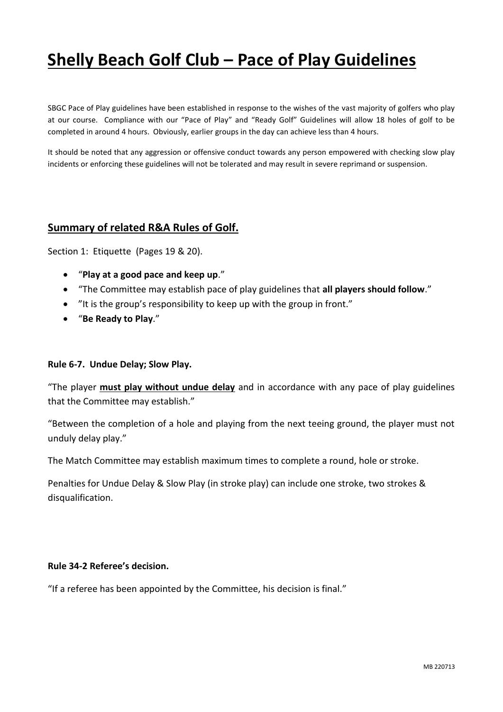# **Shelly Beach Golf Club – Pace of Play Guidelines**

SBGC Pace of Play guidelines have been established in response to the wishes of the vast majority of golfers who play at our course. Compliance with our "Pace of Play" and "Ready Golf" Guidelines will allow 18 holes of golf to be completed in around 4 hours. Obviously, earlier groups in the day can achieve less than 4 hours.

It should be noted that any aggression or offensive conduct towards any person empowered with checking slow play incidents or enforcing these guidelines will not be tolerated and may result in severe reprimand or suspension.

#### **Summary of related R&A Rules of Golf.**

Section 1: Etiquette (Pages 19 & 20).

- "**Play at a good pace and keep up**."
- "The Committee may establish pace of play guidelines that **all players should follow**."
- "It is the group's responsibility to keep up with the group in front."
- "**Be Ready to Play**."

#### **Rule 6-7. Undue Delay; Slow Play.**

"The player **must play without undue delay** and in accordance with any pace of play guidelines that the Committee may establish."

"Between the completion of a hole and playing from the next teeing ground, the player must not unduly delay play."

The Match Committee may establish maximum times to complete a round, hole or stroke.

Penalties for Undue Delay & Slow Play (in stroke play) can include one stroke, two strokes & disqualification.

#### **Rule 34-2 Referee's decision.**

"If a referee has been appointed by the Committee, his decision is final."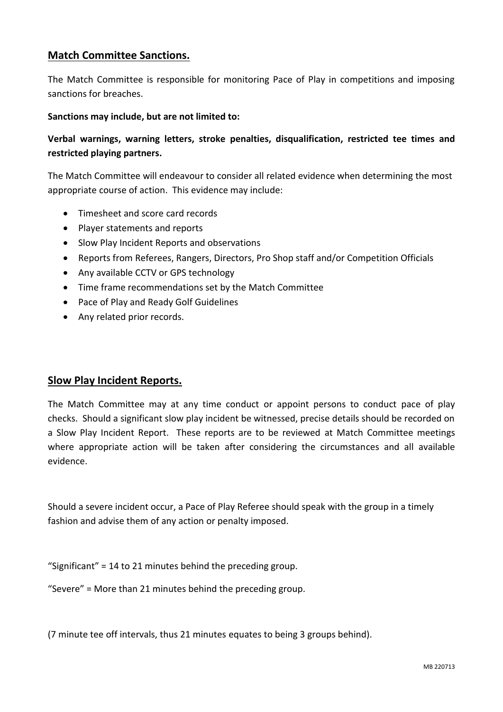### **Match Committee Sanctions.**

The Match Committee is responsible for monitoring Pace of Play in competitions and imposing sanctions for breaches.

#### **Sanctions may include, but are not limited to:**

**Verbal warnings, warning letters, stroke penalties, disqualification, restricted tee times and restricted playing partners.** 

The Match Committee will endeavour to consider all related evidence when determining the most appropriate course of action. This evidence may include:

- Timesheet and score card records
- Player statements and reports
- Slow Play Incident Reports and observations
- Reports from Referees, Rangers, Directors, Pro Shop staff and/or Competition Officials
- Any available CCTV or GPS technology
- Time frame recommendations set by the Match Committee
- Pace of Play and Ready Golf Guidelines
- Any related prior records.

#### **Slow Play Incident Reports.**

The Match Committee may at any time conduct or appoint persons to conduct pace of play checks. Should a significant slow play incident be witnessed, precise details should be recorded on a Slow Play Incident Report. These reports are to be reviewed at Match Committee meetings where appropriate action will be taken after considering the circumstances and all available evidence.

Should a severe incident occur, a Pace of Play Referee should speak with the group in a timely fashion and advise them of any action or penalty imposed.

"Significant" = 14 to 21 minutes behind the preceding group.

"Severe" = More than 21 minutes behind the preceding group.

(7 minute tee off intervals, thus 21 minutes equates to being 3 groups behind).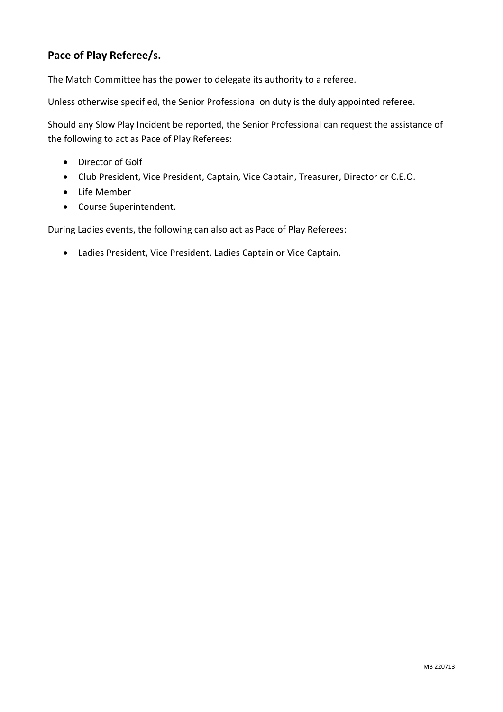### **Pace of Play Referee/s.**

The Match Committee has the power to delegate its authority to a referee.

Unless otherwise specified, the Senior Professional on duty is the duly appointed referee.

Should any Slow Play Incident be reported, the Senior Professional can request the assistance of the following to act as Pace of Play Referees:

- Director of Golf
- Club President, Vice President, Captain, Vice Captain, Treasurer, Director or C.E.O.
- Life Member
- Course Superintendent.

During Ladies events, the following can also act as Pace of Play Referees:

Ladies President, Vice President, Ladies Captain or Vice Captain.